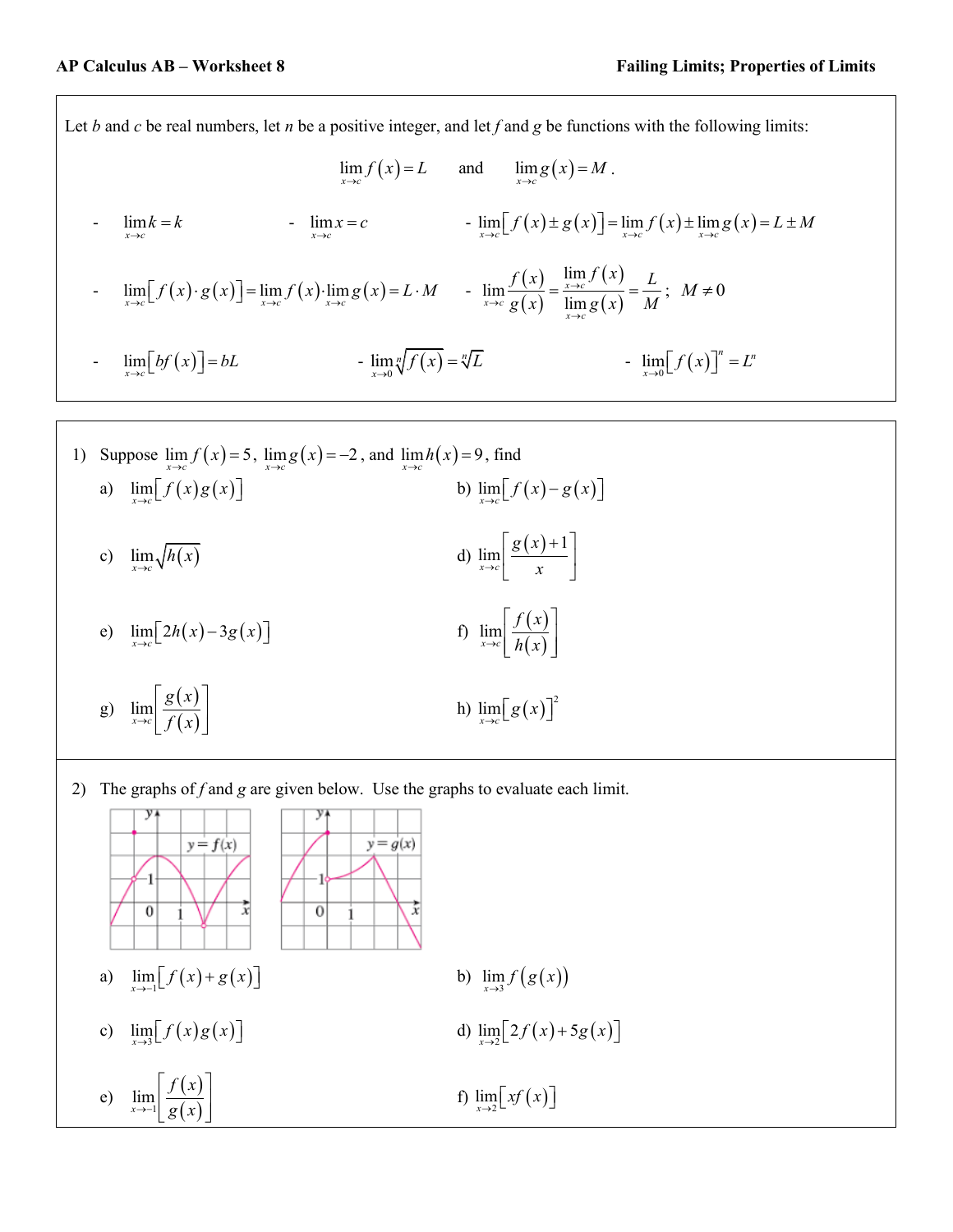Let *b* and *c* be real numbers, let *n* be a positive integer, and let *f* and *g* be functions with the following limits:

$$
\lim_{x \to c} f(x) = L \quad \text{and} \quad \lim_{x \to c} g(x) = M.
$$
  
\n
$$
\lim_{x \to c} k = k \quad \lim_{x \to c} x = c \quad \lim_{x \to c} \left[ f(x) \pm g(x) \right] = \lim_{x \to c} f(x) \pm \lim_{x \to c} g(x) = L \pm M
$$
  
\n
$$
\lim_{x \to c} \left[ f(x) \cdot g(x) \right] = \lim_{x \to c} f(x) \cdot \lim_{x \to c} g(x) = L \cdot M \quad \lim_{x \to c} \frac{f(x)}{g(x)} = \frac{\lim_{x \to c} f(x)}{\lim_{x \to c} g(x)} = \frac{L}{M}; \quad M \neq 0
$$
  
\n
$$
\lim_{x \to c} \left[ bf(x) \right] = bL \quad \lim_{x \to 0} \sqrt[n]{f(x)} = \sqrt[n]{L} \quad \lim_{x \to 0} \left[ f(x) \right]^n = L^n
$$

1) Suppose 
$$
\lim_{x \to c} f(x) = 5
$$
,  $\lim_{x \to c} g(x) = -2$ , and  $\lim_{x \to c} h(x) = 9$ , find  
\na)  $\lim_{x \to c} [f(x)g(x)]$   
\nb)  $\lim_{x \to c} [f(x) - g(x)]$   
\nc)  $\lim_{x \to c} \sqrt{h(x)}$   
\nd)  $\lim_{x \to c} \left[ \frac{g(x) + 1}{x} \right]$   
\ne)  $\lim_{x \to c} [2h(x) - 3g(x)]$   
\nf)  $\lim_{x \to c} \left[ \frac{f(x)}{h(x)} \right]$   
\ng)  $\lim_{x \to c} \left[ \frac{g(x)}{f(x)} \right]$   
\nh)  $\lim_{x \to c} [g(x)]^2$ 

2) The graphs of *f* and *g* are given below. Use the graphs to evaluate each limit.